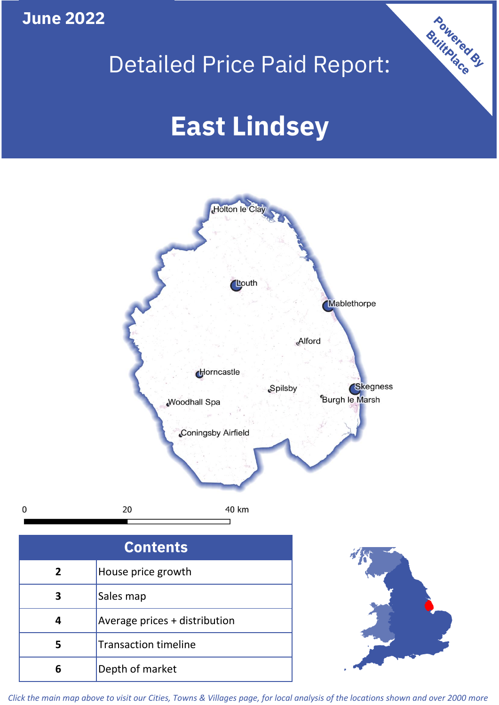**June 2022**

# Detailed Price Paid Report:

Powered By

# **East Lindsey**



*Click the main map above to visit our Cities, Towns & Villages page, for local analysis of the locations shown and over 2000 more*

**6** Depth of market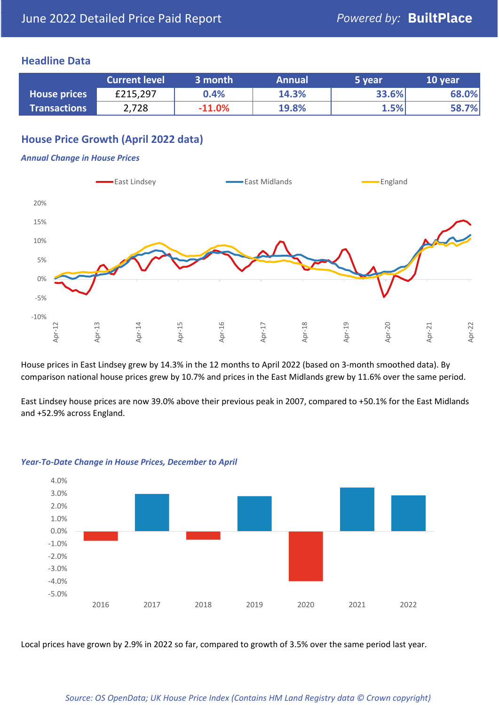#### **Headline Data**

|                     | <b>Current level</b> | 3 month  | <b>Annual</b> | 5 year | 10 year |
|---------------------|----------------------|----------|---------------|--------|---------|
| <b>House prices</b> | £215,297             | $0.4\%$  | 14.3%         | 33.6%  | 68.0%   |
| <b>Transactions</b> | 2,728                | $-11.0%$ | <b>19.8%</b>  | 1.5%   | 58.7%   |

# **House Price Growth (April 2022 data)**

#### *Annual Change in House Prices*



House prices in East Lindsey grew by 14.3% in the 12 months to April 2022 (based on 3-month smoothed data). By comparison national house prices grew by 10.7% and prices in the East Midlands grew by 11.6% over the same period.

East Lindsey house prices are now 39.0% above their previous peak in 2007, compared to +50.1% for the East Midlands and +52.9% across England.



#### *Year-To-Date Change in House Prices, December to April*

Local prices have grown by 2.9% in 2022 so far, compared to growth of 3.5% over the same period last year.

#### *Source: OS OpenData; UK House Price Index (Contains HM Land Registry data © Crown copyright)*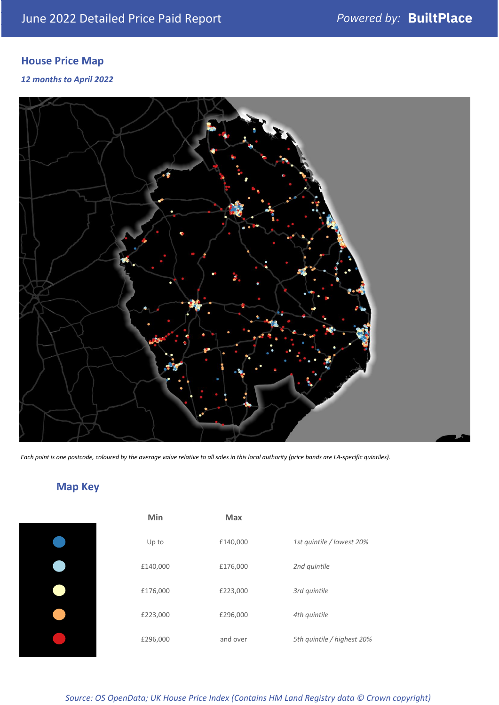# **House Price Map**

*12 months to April 2022*



*Each point is one postcode, coloured by the average value relative to all sales in this local authority (price bands are LA-specific quintiles).*

# **Map Key**

| Min      | <b>Max</b> |                            |
|----------|------------|----------------------------|
| Up to    | £140,000   | 1st quintile / lowest 20%  |
| £140,000 | £176,000   | 2nd quintile               |
| £176,000 | £223,000   | 3rd quintile               |
| £223,000 | £296,000   | 4th quintile               |
| £296,000 | and over   | 5th quintile / highest 20% |

*Source: OS OpenData; UK House Price Index (Contains HM Land Registry data © Crown copyright)*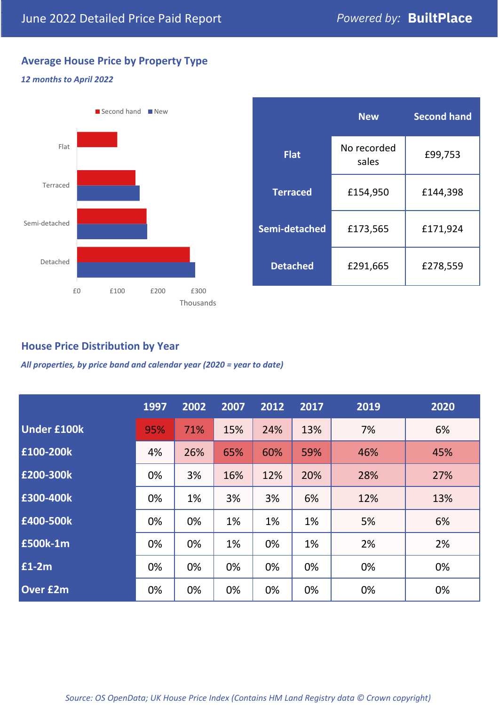# **Average House Price by Property Type**

#### *12 months to April 2022*



|                 | <b>New</b>           | <b>Second hand</b> |  |
|-----------------|----------------------|--------------------|--|
| <b>Flat</b>     | No recorded<br>sales | £99,753            |  |
| <b>Terraced</b> | £154,950             | £144,398           |  |
| Semi-detached   | £173,565             | £171,924           |  |
| <b>Detached</b> | £291,665             | £278,559           |  |

### **House Price Distribution by Year**

*All properties, by price band and calendar year (2020 = year to date)*

|                    | 1997 | 2002 | 2007 | 2012 | 2017 | 2019 | 2020 |
|--------------------|------|------|------|------|------|------|------|
| <b>Under £100k</b> | 95%  | 71%  | 15%  | 24%  | 13%  | 7%   | 6%   |
| £100-200k          | 4%   | 26%  | 65%  | 60%  | 59%  | 46%  | 45%  |
| E200-300k          | 0%   | 3%   | 16%  | 12%  | 20%  | 28%  | 27%  |
| £300-400k          | 0%   | 1%   | 3%   | 3%   | 6%   | 12%  | 13%  |
| £400-500k          | 0%   | 0%   | 1%   | 1%   | 1%   | 5%   | 6%   |
| <b>£500k-1m</b>    | 0%   | 0%   | 1%   | 0%   | 1%   | 2%   | 2%   |
| £1-2m              | 0%   | 0%   | 0%   | 0%   | 0%   | 0%   | 0%   |
| <b>Over £2m</b>    | 0%   | 0%   | 0%   | 0%   | 0%   | 0%   | 0%   |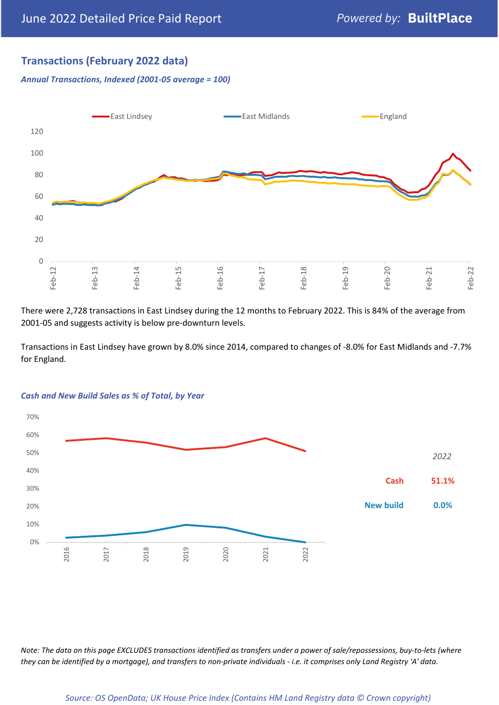## **Transactions (February 2022 data)**

*Annual Transactions, Indexed (2001-05 average = 100)*



There were 2,728 transactions in East Lindsey during the 12 months to February 2022. This is 84% of the average from 2001-05 and suggests activity is below pre-downturn levels.

Transactions in East Lindsey have grown by 8.0% since 2014, compared to changes of -8.0% for East Midlands and -7.7% for England.



#### *Cash and New Build Sales as % of Total, by Year*

*Note: The data on this page EXCLUDES transactions identified as transfers under a power of sale/repossessions, buy-to-lets (where they can be identified by a mortgage), and transfers to non-private individuals - i.e. it comprises only Land Registry 'A' data.*